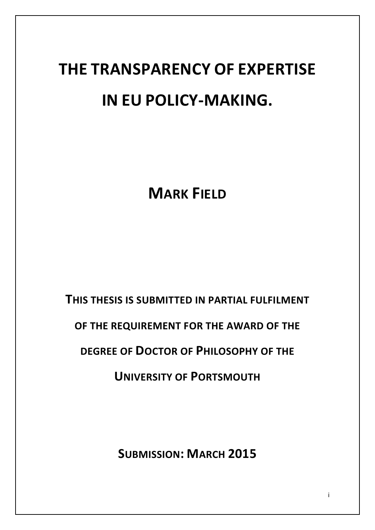# **THE TRANSPARENCY OF EXPERTISE IN EU POLICY-MAKING.**

**MARK FIELD**

**THIS THESIS IS SUBMITTED IN PARTIAL FULFILMENT** 

**OF THE REQUIREMENT FOR THE AWARD OF THE** 

**DEGREE OF DOCTOR OF PHILOSOPHY OF THE** 

**UNIVERSITY OF PORTSMOUTH**

**SUBMISSION: MARCH 2015**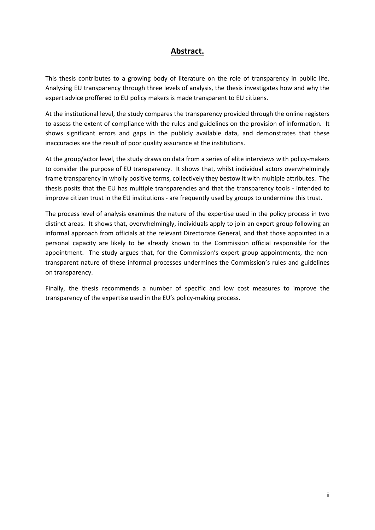# **Abstract.**

This thesis contributes to a growing body of literature on the role of transparency in public life. Analysing EU transparency through three levels of analysis, the thesis investigates how and why the expert advice proffered to EU policy makers is made transparent to EU citizens.

At the institutional level, the study compares the transparency provided through the online registers to assess the extent of compliance with the rules and guidelines on the provision of information. It shows significant errors and gaps in the publicly available data, and demonstrates that these inaccuracies are the result of poor quality assurance at the institutions.

At the group/actor level, the study draws on data from a series of elite interviews with policy-makers to consider the purpose of EU transparency. It shows that, whilst individual actors overwhelmingly frame transparency in wholly positive terms, collectively they bestow it with multiple attributes. The thesis posits that the EU has multiple transparencies and that the transparency tools - intended to improve citizen trust in the EU institutions - are frequently used by groups to undermine this trust.

The process level of analysis examines the nature of the expertise used in the policy process in two distinct areas. It shows that, overwhelmingly, individuals apply to join an expert group following an informal approach from officials at the relevant Directorate General, and that those appointed in a personal capacity are likely to be already known to the Commission official responsible for the appointment. The study argues that, for the Commission's expert group appointments, the nontransparent nature of these informal processes undermines the Commission's rules and guidelines on transparency.

Finally, the thesis recommends a number of specific and low cost measures to improve the transparency of the expertise used in the EU's policy-making process.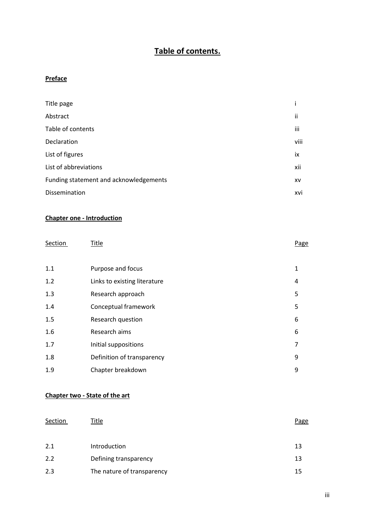# **Table of contents.**

#### **Preface**

| Title page                             |           |
|----------------------------------------|-----------|
| Abstract                               | ii        |
| Table of contents                      | iii       |
| Declaration                            | viii      |
| List of figures                        | iх        |
| List of abbreviations                  | xii       |
| Funding statement and acknowledgements | <b>XV</b> |
| Dissemination                          | xvi       |

#### **Chapter one - Introduction**

| Section | Title                        | Page         |
|---------|------------------------------|--------------|
|         |                              |              |
| 1.1     | Purpose and focus            | $\mathbf{1}$ |
| 1.2     | Links to existing literature | 4            |
| 1.3     | Research approach            | 5            |
| 1.4     | Conceptual framework         | 5            |
| 1.5     | Research question            | 6            |
| 1.6     | Research aims                | 6            |
| 1.7     | Initial suppositions         | 7            |
| 1.8     | Definition of transparency   | 9            |
| 1.9     | Chapter breakdown            | 9            |

#### **Chapter two - State of the art**

| Section | Title                      | Page |
|---------|----------------------------|------|
|         |                            |      |
| 2.1     | Introduction               | 13   |
| 2.2     | Defining transparency      | 13   |
| 2.3     | The nature of transparency | 15   |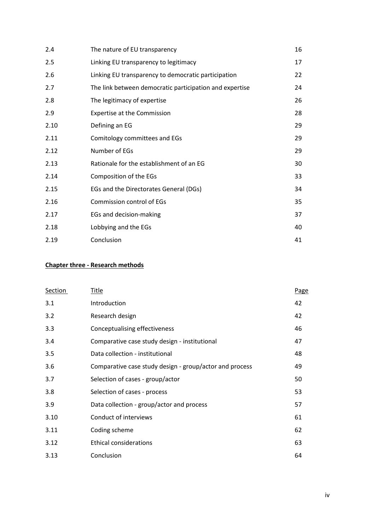| 2.4  | The nature of EU transparency                           | 16 |
|------|---------------------------------------------------------|----|
| 2.5  | Linking EU transparency to legitimacy                   | 17 |
| 2.6  | Linking EU transparency to democratic participation     | 22 |
| 2.7  | The link between democratic participation and expertise | 24 |
| 2.8  | The legitimacy of expertise                             | 26 |
| 2.9  | Expertise at the Commission                             | 28 |
| 2.10 | Defining an EG                                          | 29 |
| 2.11 | Comitology committees and EGs                           | 29 |
| 2.12 | Number of EGs                                           | 29 |
| 2.13 | Rationale for the establishment of an EG                | 30 |
| 2.14 | Composition of the EGs                                  | 33 |
| 2.15 | EGs and the Directorates General (DGs)                  | 34 |
| 2.16 | <b>Commission control of EGs</b>                        | 35 |
| 2.17 | EGs and decision-making                                 | 37 |
| 2.18 | Lobbying and the EGs                                    | 40 |
| 2.19 | Conclusion                                              | 41 |

# **Chapter three - Research methods**

| <b>Section</b> | Title                                                   | Page |
|----------------|---------------------------------------------------------|------|
| 3.1            | Introduction                                            | 42   |
| 3.2            | Research design                                         | 42   |
| 3.3            | Conceptualising effectiveness                           | 46   |
| 3.4            | Comparative case study design - institutional           | 47   |
| 3.5            | Data collection - institutional                         | 48   |
| 3.6            | Comparative case study design - group/actor and process | 49   |
| 3.7            | Selection of cases - group/actor                        | 50   |
| 3.8            | Selection of cases - process                            | 53   |
| 3.9            | Data collection - group/actor and process               | 57   |
| 3.10           | Conduct of interviews                                   | 61   |
| 3.11           | Coding scheme                                           | 62   |
| 3.12           | <b>Ethical considerations</b>                           | 63   |
| 3.13           | Conclusion                                              | 64   |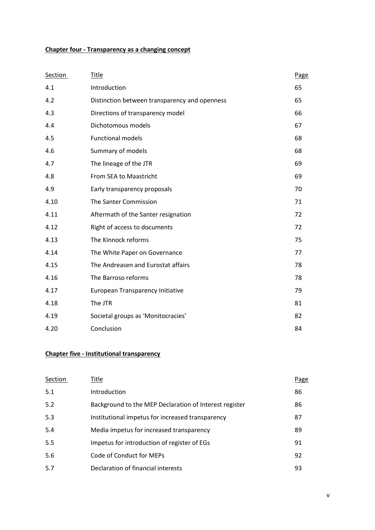# **Chapter four - Transparency as a changing concept**

| Section | <b>Title</b>                                  | Page |
|---------|-----------------------------------------------|------|
| 4.1     | Introduction                                  | 65   |
| 4.2     | Distinction between transparency and openness | 65   |
| 4.3     | Directions of transparency model              | 66   |
| 4.4     | Dichotomous models                            | 67   |
| 4.5     | <b>Functional models</b>                      | 68   |
| 4.6     | Summary of models                             | 68   |
| 4.7     | The lineage of the JTR                        | 69   |
| 4.8     | From SEA to Maastricht                        | 69   |
| 4.9     | Early transparency proposals                  | 70   |
| 4.10    | The Santer Commission                         | 71   |
| 4.11    | Aftermath of the Santer resignation           | 72   |
| 4.12    | Right of access to documents                  | 72   |
| 4.13    | The Kinnock reforms                           | 75   |
| 4.14    | The White Paper on Governance                 | 77   |
| 4.15    | The Andreasen and Eurostat affairs            | 78   |
| 4.16    | The Barroso reforms                           | 78   |
| 4.17    | European Transparency Initiative              | 79   |
| 4.18    | The JTR                                       | 81   |
| 4.19    | Societal groups as 'Monitocracies'            | 82   |
| 4.20    | Conclusion                                    | 84   |

#### **Chapter five - Institutional transparency**

| Section | Title                                                  | Page |
|---------|--------------------------------------------------------|------|
| 5.1     | Introduction                                           | 86   |
| 5.2     | Background to the MEP Declaration of Interest register | 86   |
| 5.3     | Institutional impetus for increased transparency       | 87   |
| 5.4     | Media impetus for increased transparency               | 89   |
| 5.5     | Impetus for introduction of register of EGs            | 91   |
| 5.6     | Code of Conduct for MEPs                               | 92   |
| 5.7     | Declaration of financial interests                     | 93   |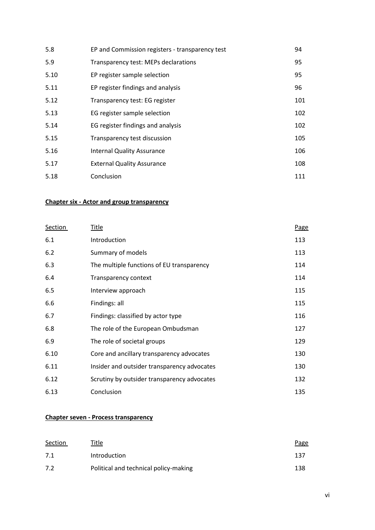| 5.8  | EP and Commission registers - transparency test | 94  |
|------|-------------------------------------------------|-----|
| 5.9  | Transparency test: MEPs declarations            | 95  |
| 5.10 | EP register sample selection                    | 95  |
| 5.11 | EP register findings and analysis               | 96  |
| 5.12 | Transparency test: EG register                  | 101 |
| 5.13 | EG register sample selection                    | 102 |
| 5.14 | EG register findings and analysis               | 102 |
| 5.15 | Transparency test discussion                    | 105 |
| 5.16 | <b>Internal Quality Assurance</b>               | 106 |
| 5.17 | <b>External Quality Assurance</b>               | 108 |
| 5.18 | Conclusion                                      | 111 |

# **Chapter six - Actor and group transparency**

| <b>Section</b> | <u>Title</u>                                | Page |
|----------------|---------------------------------------------|------|
| 6.1            | Introduction                                | 113  |
| 6.2            | Summary of models                           | 113  |
| 6.3            | The multiple functions of EU transparency   | 114  |
| 6.4            | Transparency context                        | 114  |
| 6.5            | Interview approach                          | 115  |
| 6.6            | Findings: all                               | 115  |
| 6.7            | Findings: classified by actor type          | 116  |
| 6.8            | The role of the European Ombudsman          | 127  |
| 6.9            | The role of societal groups                 | 129  |
| 6.10           | Core and ancillary transparency advocates   | 130  |
| 6.11           | Insider and outsider transparency advocates | 130  |
| 6.12           | Scrutiny by outsider transparency advocates | 132  |
| 6.13           | Conclusion                                  | 135  |

#### **Chapter seven - Process transparency**

| Section | Title                                 | Page |
|---------|---------------------------------------|------|
| 7.1     | <b>Introduction</b>                   | 137  |
| 7.2     | Political and technical policy-making | 138  |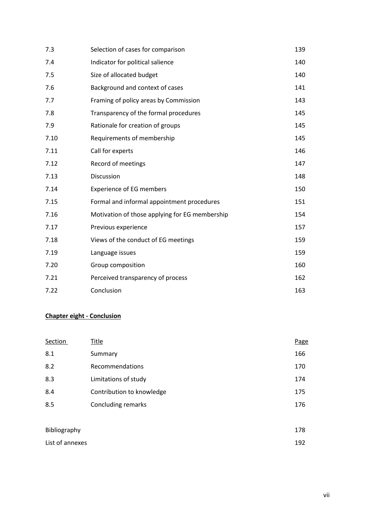| 7.3  | Selection of cases for comparison              | 139 |
|------|------------------------------------------------|-----|
| 7.4  | Indicator for political salience               | 140 |
| 7.5  | Size of allocated budget                       | 140 |
| 7.6  | Background and context of cases                | 141 |
| 7.7  | Framing of policy areas by Commission          | 143 |
| 7.8  | Transparency of the formal procedures          | 145 |
| 7.9  | Rationale for creation of groups               | 145 |
| 7.10 | Requirements of membership                     | 145 |
| 7.11 | Call for experts                               | 146 |
| 7.12 | Record of meetings                             | 147 |
| 7.13 | Discussion                                     | 148 |
| 7.14 | <b>Experience of EG members</b>                | 150 |
| 7.15 | Formal and informal appointment procedures     | 151 |
| 7.16 | Motivation of those applying for EG membership | 154 |
| 7.17 | Previous experience                            | 157 |
| 7.18 | Views of the conduct of EG meetings            | 159 |
| 7.19 | Language issues                                | 159 |
| 7.20 | Group composition                              | 160 |
| 7.21 | Perceived transparency of process              | 162 |
| 7.22 | Conclusion                                     | 163 |

# **Chapter eight - Conclusion**

| Section      | Title                     | Page |
|--------------|---------------------------|------|
| 8.1          | Summary                   | 166  |
| 8.2          | Recommendations           | 170  |
| 8.3          | Limitations of study      | 174  |
| 8.4          | Contribution to knowledge | 175  |
| 8.5          | Concluding remarks        | 176  |
|              |                           |      |
| Bibliography |                           | 178  |

| List of annexes | 192 |
|-----------------|-----|
|                 |     |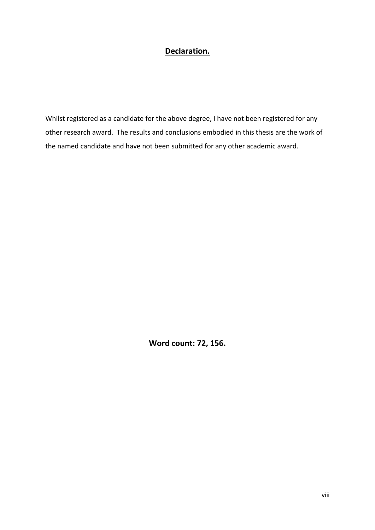# **Declaration.**

Whilst registered as a candidate for the above degree, I have not been registered for any other research award. The results and conclusions embodied in this thesis are the work of the named candidate and have not been submitted for any other academic award.

**Word count: 72, 156.**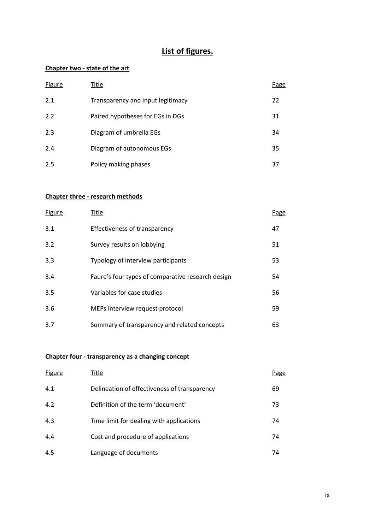# **List of figures.**

# **Chapter two - state of the art**

| <b>Figure</b> | Title                             | Page |
|---------------|-----------------------------------|------|
| 2.1           | Transparency and input legitimacy | 22   |
| 2.2           | Paired hypotheses for EGs in DGs  | 31   |
| 2.3           | Diagram of umbrella EGs           | 34   |
| 2.4           | Diagram of autonomous EGs         | 35   |
| 2.5           | Policy making phases              | 37   |

#### **Chapter three - research methods**

| Figure | Title                                             | Page |
|--------|---------------------------------------------------|------|
| 3.1    | Effectiveness of transparency                     | 47   |
| 3.2    | Survey results on lobbying                        | 51   |
| 3.3    | Typology of interview participants                | 53   |
| 3.4    | Faure's four types of comparative research design | 54   |
| 3.5    | Variables for case studies                        | 56   |
| 3.6    | MEPs interview request protocol                   | 59   |
| 3.7    | Summary of transparency and related concepts      | 63   |

# **Chapter four - transparency as a changing concept**

| <b>Figure</b> | Title                                        | Page |
|---------------|----------------------------------------------|------|
| 4.1           | Delineation of effectiveness of transparency | 69   |
| 4.2           | Definition of the term 'document'            | 73   |
| 4.3           | Time limit for dealing with applications     | 74   |
| 4.4           | Cost and procedure of applications           | 74   |
| 4.5           | Language of documents                        | 74   |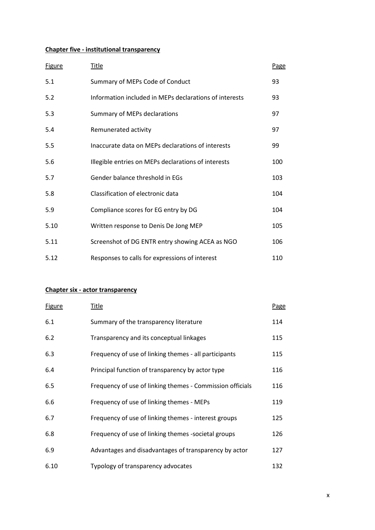# **Chapter five - institutional transparency**

| <b>Figure</b> | <u>Title</u>                                           | Page |
|---------------|--------------------------------------------------------|------|
| 5.1           | Summary of MEPs Code of Conduct                        | 93   |
| 5.2           | Information included in MEPs declarations of interests | 93   |
| 5.3           | Summary of MEPs declarations                           | 97   |
| 5.4           | Remunerated activity                                   | 97   |
| 5.5           | Inaccurate data on MEPs declarations of interests      | 99   |
| 5.6           | Illegible entries on MEPs declarations of interests    | 100  |
| 5.7           | Gender balance threshold in EGs                        | 103  |
| 5.8           | Classification of electronic data                      | 104  |
| 5.9           | Compliance scores for EG entry by DG                   | 104  |
| 5.10          | Written response to Denis De Jong MEP                  | 105  |
| 5.11          | Screenshot of DG ENTR entry showing ACEA as NGO        | 106  |
| 5.12          | Responses to calls for expressions of interest         | 110  |

#### **Chapter six - actor transparency**

| <b>Figure</b> | <u>Title</u>                                              | Page |
|---------------|-----------------------------------------------------------|------|
| 6.1           | Summary of the transparency literature                    | 114  |
| 6.2           | Transparency and its conceptual linkages                  | 115  |
| 6.3           | Frequency of use of linking themes - all participants     | 115  |
| 6.4           | Principal function of transparency by actor type          | 116  |
| 6.5           | Frequency of use of linking themes - Commission officials | 116  |
| 6.6           | Frequency of use of linking themes - MEPs                 | 119  |
| 6.7           | Frequency of use of linking themes - interest groups      | 125  |
| 6.8           | Frequency of use of linking themes -societal groups       | 126  |
| 6.9           | Advantages and disadvantages of transparency by actor     | 127  |
| 6.10          | Typology of transparency advocates                        | 132  |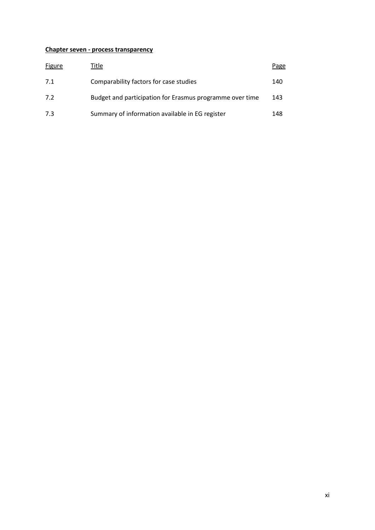#### **Chapter seven - process transparency**

| <b>Figure</b> | Title                                                    | Page |
|---------------|----------------------------------------------------------|------|
| 7.1           | Comparability factors for case studies                   | 140  |
| 7.2           | Budget and participation for Erasmus programme over time | 143  |
| 7.3           | Summary of information available in EG register          | 148  |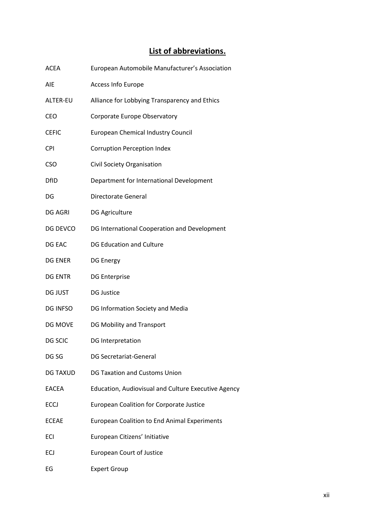# **List of abbreviations.**

| <b>ACEA</b>     | European Automobile Manufacturer's Association      |
|-----------------|-----------------------------------------------------|
| AIE             | Access Info Europe                                  |
| ALTER-EU        | Alliance for Lobbying Transparency and Ethics       |
| CEO             | Corporate Europe Observatory                        |
| <b>CEFIC</b>    | <b>European Chemical Industry Council</b>           |
| <b>CPI</b>      | <b>Corruption Perception Index</b>                  |
| <b>CSO</b>      | Civil Society Organisation                          |
| <b>DfID</b>     | Department for International Development            |
| DG              | <b>Directorate General</b>                          |
| <b>DG AGRI</b>  | <b>DG Agriculture</b>                               |
| DG DEVCO        | DG International Cooperation and Development        |
| DG EAC          | <b>DG Education and Culture</b>                     |
| <b>DG ENER</b>  | <b>DG Energy</b>                                    |
| <b>DG ENTR</b>  | <b>DG Enterprise</b>                                |
| <b>DG JUST</b>  | <b>DG Justice</b>                                   |
| DG INFSO        | DG Information Society and Media                    |
| DG MOVE         | DG Mobility and Transport                           |
| DG SCIC         | DG Interpretation                                   |
| DG SG           | <b>DG Secretariat-General</b>                       |
| <b>DG TAXUD</b> | <b>DG Taxation and Customs Union</b>                |
| <b>EACEA</b>    | Education, Audiovisual and Culture Executive Agency |
| <b>ECCJ</b>     | <b>European Coalition for Corporate Justice</b>     |
| <b>ECEAE</b>    | <b>European Coalition to End Animal Experiments</b> |
| ECI             | European Citizens' Initiative                       |
| ECJ             | <b>European Court of Justice</b>                    |
| EG              | <b>Expert Group</b>                                 |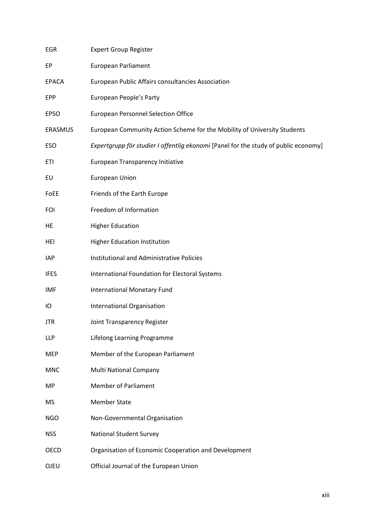| EGR          | <b>Expert Group Register</b>                                                        |
|--------------|-------------------------------------------------------------------------------------|
| EP           | <b>European Parliament</b>                                                          |
| <b>EPACA</b> | European Public Affairs consultancies Association                                   |
| <b>EPP</b>   | European People's Party                                                             |
| <b>EPSO</b>  | <b>European Personnel Selection Office</b>                                          |
| ERASMUS      | European Community Action Scheme for the Mobility of University Students            |
| ESO          | Expertgrupp för studier I offentlig ekonomi [Panel for the study of public economy] |
| ETI          | European Transparency Initiative                                                    |
| EU           | European Union                                                                      |
| FoEE         | Friends of the Earth Europe                                                         |
| FOI          | Freedom of Information                                                              |
| HE           | <b>Higher Education</b>                                                             |
| HEI          | <b>Higher Education Institution</b>                                                 |
| IAP          | Institutional and Administrative Policies                                           |
| <b>IFES</b>  | International Foundation for Electoral Systems                                      |
| IMF          | <b>International Monetary Fund</b>                                                  |
| IО           | International Organisation                                                          |
| JTR          | Joint Transparency Register                                                         |
| LLP          | Lifelong Learning Programme                                                         |
| <b>MEP</b>   | Member of the European Parliament                                                   |
| <b>MNC</b>   | <b>Multi National Company</b>                                                       |
| MP           | <b>Member of Parliament</b>                                                         |
| <b>MS</b>    | <b>Member State</b>                                                                 |
| <b>NGO</b>   | Non-Governmental Organisation                                                       |
| <b>NSS</b>   | <b>National Student Survey</b>                                                      |
| OECD         | Organisation of Economic Cooperation and Development                                |
| OJEU         | Official Journal of the European Union                                              |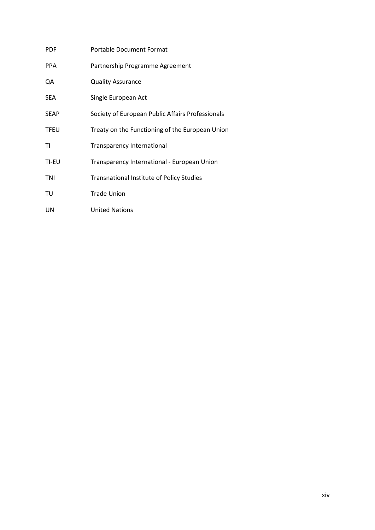| <b>PDF</b>  | <b>Portable Document Format</b>                  |
|-------------|--------------------------------------------------|
| <b>PPA</b>  | Partnership Programme Agreement                  |
| QA          | <b>Quality Assurance</b>                         |
| <b>SEA</b>  | Single European Act                              |
| <b>SEAP</b> | Society of European Public Affairs Professionals |
| <b>TFEU</b> | Treaty on the Functioning of the European Union  |
| ΤI          | <b>Transparency International</b>                |
| TI-EU       | Transparency International - European Union      |
| TNI         | <b>Transnational Institute of Policy Studies</b> |
| TU          | <b>Trade Union</b>                               |
| UN          | <b>United Nations</b>                            |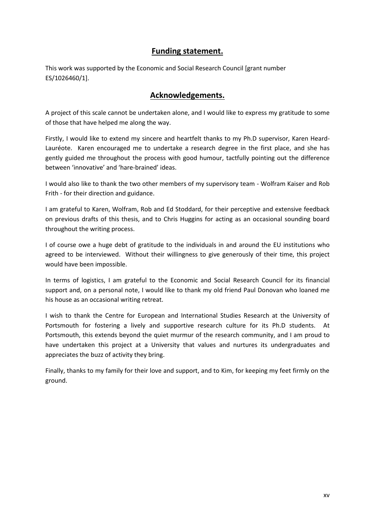#### **Funding statement.**

This work was supported by the Economic and Social Research Council [grant number ES/1026460/1].

## **Acknowledgements.**

A project of this scale cannot be undertaken alone, and I would like to express my gratitude to some of those that have helped me along the way.

Firstly, I would like to extend my sincere and heartfelt thanks to my Ph.D supervisor, Karen Heard-Lauréote. Karen encouraged me to undertake a research degree in the first place, and she has gently guided me throughout the process with good humour, tactfully pointing out the difference between 'innovative' and 'hare-brained' ideas.

I would also like to thank the two other members of my supervisory team - Wolfram Kaiser and Rob Frith - for their direction and guidance.

I am grateful to Karen, Wolfram, Rob and Ed Stoddard, for their perceptive and extensive feedback on previous drafts of this thesis, and to Chris Huggins for acting as an occasional sounding board throughout the writing process.

I of course owe a huge debt of gratitude to the individuals in and around the EU institutions who agreed to be interviewed. Without their willingness to give generously of their time, this project would have been impossible.

In terms of logistics, I am grateful to the Economic and Social Research Council for its financial support and, on a personal note, I would like to thank my old friend Paul Donovan who loaned me his house as an occasional writing retreat.

I wish to thank the Centre for European and International Studies Research at the University of Portsmouth for fostering a lively and supportive research culture for its Ph.D students. At Portsmouth, this extends beyond the quiet murmur of the research community, and I am proud to have undertaken this project at a University that values and nurtures its undergraduates and appreciates the buzz of activity they bring.

Finally, thanks to my family for their love and support, and to Kim, for keeping my feet firmly on the ground.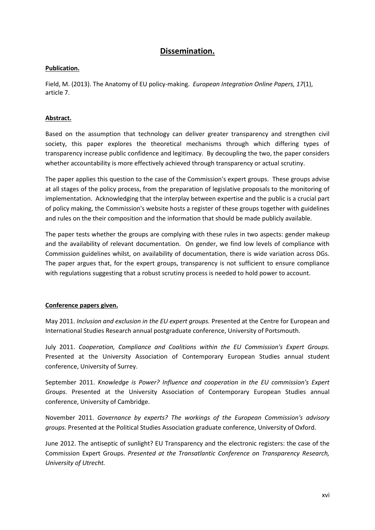### **Dissemination.**

#### **Publication.**

Field, M. (2013). The Anatomy of EU policy-making. *European Integration Online Papers, 17*(1), article 7.

#### **Abstract.**

Based on the assumption that technology can deliver greater transparency and strengthen civil society, this paper explores the theoretical mechanisms through which differing types of transparency increase public confidence and legitimacy. By decoupling the two, the paper considers whether accountability is more effectively achieved through transparency or actual scrutiny.

The paper applies this question to the case of the Commission's expert groups. These groups advise at all stages of the policy process, from the preparation of legislative proposals to the monitoring of implementation. Acknowledging that the interplay between expertise and the public is a crucial part of policy making, the Commission's website hosts a register of these groups together with guidelines and rules on the their composition and the information that should be made publicly available.

The paper tests whether the groups are complying with these rules in two aspects: gender makeup and the availability of relevant documentation. On gender, we find low levels of compliance with Commission guidelines whilst, on availability of documentation, there is wide variation across DGs. The paper argues that, for the expert groups, transparency is not sufficient to ensure compliance with regulations suggesting that a robust scrutiny process is needed to hold power to account.

#### **Conference papers given.**

May 2011. *Inclusion and exclusion in the EU expert groups.* Presented at the Centre for European and International Studies Research annual postgraduate conference, University of Portsmouth.

July 2011. *Cooperation, Compliance and Coalitions within the EU Commission's Expert Groups.* Presented at the University Association of Contemporary European Studies annual student conference, University of Surrey.

September 2011. *Knowledge is Power? Influence and cooperation in the EU commission's Expert Groups.* Presented at the University Association of Contemporary European Studies annual conference, University of Cambridge.

November 2011. *Governance by experts? The workings of the European Commission's advisory groups.* Presented at the Political Studies Association graduate conference, University of Oxford.

June 2012. The antiseptic of sunlight? EU Transparency and the electronic registers: the case of the Commission Expert Groups. *Presented at the Transatlantic Conference on Transparency Research, University of Utrecht.*